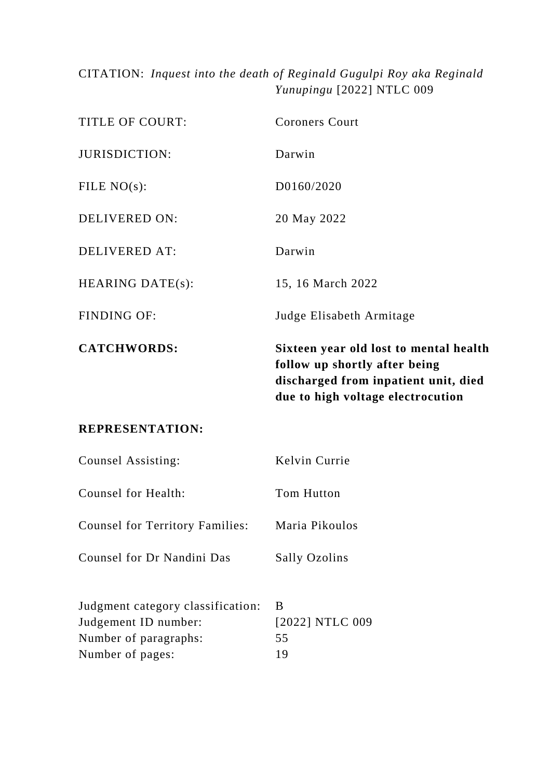# CITATION: *Inquest into the death of Reginald Gugulpi Roy aka Reginald Yunupingu* [2022] NTLC 009

|                         | follow up shortly after being<br>discharged from inpatient unit, died<br>due to high voltage electrocution |
|-------------------------|------------------------------------------------------------------------------------------------------------|
| <b>CATCHWORDS:</b>      | Sixteen year old lost to mental health                                                                     |
| <b>FINDING OF:</b>      | Judge Elisabeth Armitage                                                                                   |
| <b>HEARING DATE(s):</b> | 15, 16 March 2022                                                                                          |
| <b>DELIVERED AT:</b>    | Darwin                                                                                                     |
| <b>DELIVERED ON:</b>    | 20 May 2022                                                                                                |
| FILE $NO(s)$ :          | D0160/2020                                                                                                 |
| <b>JURISDICTION:</b>    | Darwin                                                                                                     |
| <b>TITLE OF COURT:</b>  | <b>Coroners Court</b>                                                                                      |

# **REPRESENTATION:**

| Counsel Assisting:                                                                                     | Kelvin Currie                    |
|--------------------------------------------------------------------------------------------------------|----------------------------------|
| Counsel for Health:                                                                                    | Tom Hutton                       |
| <b>Counsel for Territory Families:</b>                                                                 | Maria Pikoulos                   |
| Counsel for Dr Nandini Das                                                                             | <b>Sally Ozolins</b>             |
| Judgment category classification:<br>Judgement ID number:<br>Number of paragraphs:<br>Number of pages: | B<br>[2022] NTLC 009<br>55<br>19 |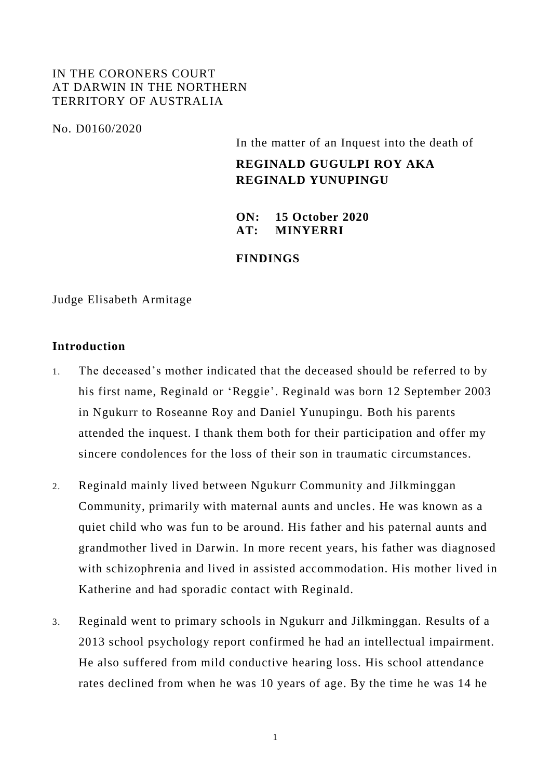### IN THE CORONERS COURT AT DARWIN IN THE NORTHERN TERRITORY OF AUSTRALIA

No. D0160/2020

In the matter of an Inquest into the death of

# **REGINALD GUGULPI ROY AKA REGINALD YUNUPINGU**

**ON: 15 October 2020 AT: MINYERRI**

### **FINDINGS**

Judge Elisabeth Armitage

#### **Introduction**

- 1. The deceased's mother indicated that the deceased should be referred to by his first name, Reginald or 'Reggie'. Reginald was born 12 September 2003 in Ngukurr to Roseanne Roy and Daniel Yunupingu. Both his parents attended the inquest. I thank them both for their participation and offer my sincere condolences for the loss of their son in traumatic circumstances.
- 2. Reginald mainly lived between Ngukurr Community and Jilkminggan Community, primarily with maternal aunts and uncles. He was known as a quiet child who was fun to be around. His father and his paternal aunts and grandmother lived in Darwin. In more recent years, his father was diagnosed with schizophrenia and lived in assisted accommodation. His mother lived in Katherine and had sporadic contact with Reginald.
- 3. Reginald went to primary schools in Ngukurr and Jilkminggan. Results of a 2013 school psychology report confirmed he had an intellectual impairment. He also suffered from mild conductive hearing loss. His school attendance rates declined from when he was 10 years of age. By the time he was 14 he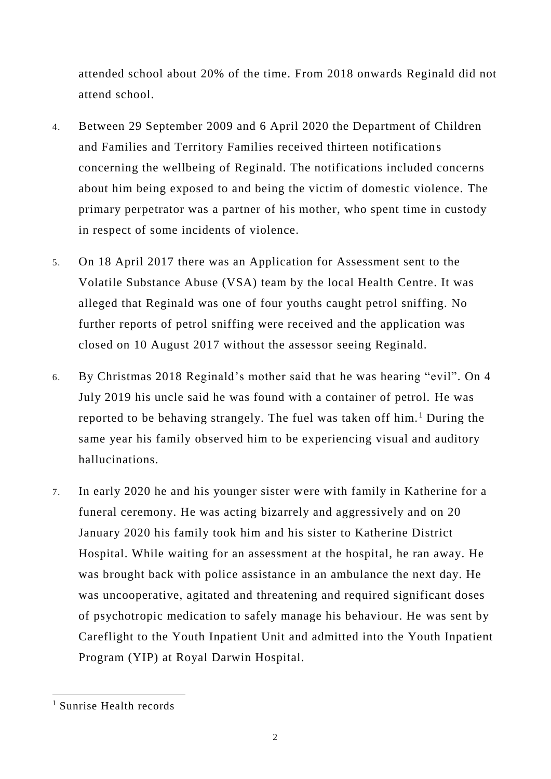attended school about 20% of the time. From 2018 onwards Reginald did not attend school.

- 4. Between 29 September 2009 and 6 April 2020 the Department of Children and Families and Territory Families received thirteen notifications concerning the wellbeing of Reginald. The notifications included concerns about him being exposed to and being the victim of domestic violence. The primary perpetrator was a partner of his mother, who spent time in custody in respect of some incidents of violence.
- 5. On 18 April 2017 there was an Application for Assessment sent to the Volatile Substance Abuse (VSA) team by the local Health Centre. It was alleged that Reginald was one of four youths caught petrol sniffing. No further reports of petrol sniffing were received and the application was closed on 10 August 2017 without the assessor seeing Reginald.
- 6. By Christmas 2018 Reginald's mother said that he was hearing "evil". On 4 July 2019 his uncle said he was found with a container of petrol. He was reported to be behaving strangely. The fuel was taken off him.<sup>1</sup> During the same year his family observed him to be experiencing visual and auditory hallucinations.
- 7. In early 2020 he and his younger sister were with family in Katherine for a funeral ceremony. He was acting bizarrely and aggressively and on 20 January 2020 his family took him and his sister to Katherine District Hospital. While waiting for an assessment at the hospital, he ran away. He was brought back with police assistance in an ambulance the next day. He was uncooperative, agitated and threatening and required significant doses of psychotropic medication to safely manage his behaviour. He was sent by Careflight to the Youth Inpatient Unit and admitted into the Youth Inpatient Program (YIP) at Royal Darwin Hospital.

<sup>1</sup> Sunrise Health records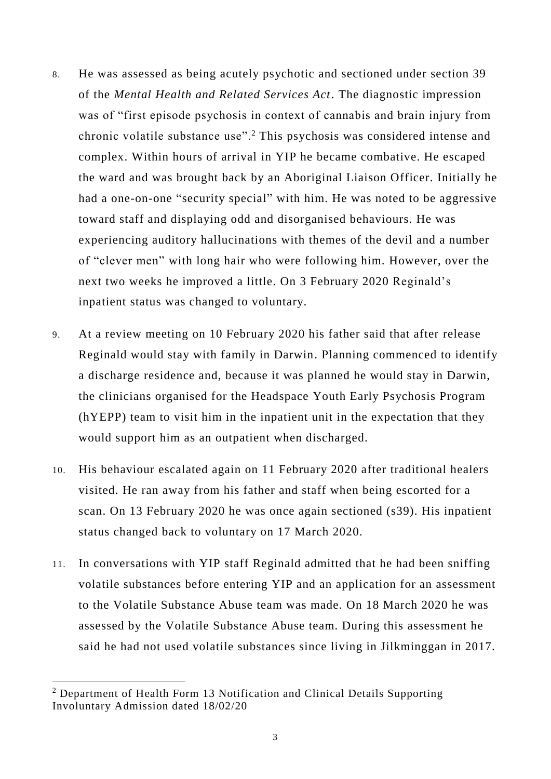- 8. He was assessed as being acutely psychotic and sectioned under section 39 of the *Mental Health and Related Services Act*. The diagnostic impression was of "first episode psychosis in context of cannabis and brain injury from chronic volatile substance use".<sup>2</sup> This psychosis was considered intense and complex. Within hours of arrival in YIP he became combative. He escaped the ward and was brought back by an Aboriginal Liaison Officer. Initially he had a one-on-one "security special" with him. He was noted to be aggressive toward staff and displaying odd and disorganised behaviours. He was experiencing auditory hallucinations with themes of the devil and a number of "clever men" with long hair who were following him. However, over the next two weeks he improved a little. On 3 February 2020 Reginald's inpatient status was changed to voluntary.
- 9. At a review meeting on 10 February 2020 his father said that after release Reginald would stay with family in Darwin. Planning commenced to identify a discharge residence and, because it was planned he would stay in Darwin, the clinicians organised for the Headspace Youth Early Psychosis Program (hYEPP) team to visit him in the inpatient unit in the expectation that they would support him as an outpatient when discharged.
- 10. His behaviour escalated again on 11 February 2020 after traditional healers visited. He ran away from his father and staff when being escorted for a scan. On 13 February 2020 he was once again sectioned (s39). His inpatient status changed back to voluntary on 17 March 2020.
- 11. In conversations with YIP staff Reginald admitted that he had been sniffing volatile substances before entering YIP and an application for an assessment to the Volatile Substance Abuse team was made. On 18 March 2020 he was assessed by the Volatile Substance Abuse team. During this assessment he said he had not used volatile substances since living in Jilkminggan in 2017.

<sup>&</sup>lt;sup>2</sup> Department of Health Form 13 Notification and Clinical Details Supporting Involuntary Admission dated 18/02/20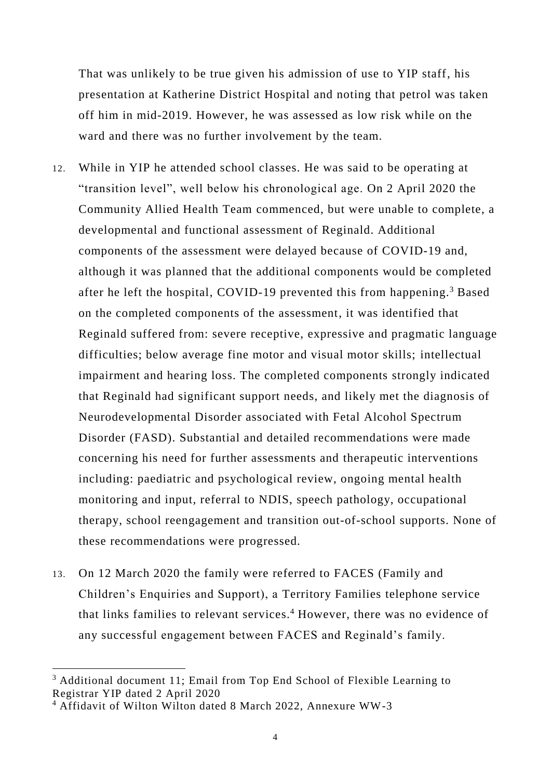That was unlikely to be true given his admission of use to YIP staff, his presentation at Katherine District Hospital and noting that petrol was taken off him in mid-2019. However, he was assessed as low risk while on the ward and there was no further involvement by the team.

- 12. While in YIP he attended school classes. He was said to be operating at "transition level", well below his chronological age. On 2 April 2020 the Community Allied Health Team commenced, but were unable to complete, a developmental and functional assessment of Reginald. Additional components of the assessment were delayed because of COVID-19 and, although it was planned that the additional components would be completed after he left the hospital, COVID-19 prevented this from happening.<sup>3</sup> Based on the completed components of the assessment, it was identified that Reginald suffered from: severe receptive, expressive and pragmatic language difficulties; below average fine motor and visual motor skills; intellectual impairment and hearing loss. The completed components strongly indicated that Reginald had significant support needs, and likely met the diagnosis of Neurodevelopmental Disorder associated with Fetal Alcohol Spectrum Disorder (FASD). Substantial and detailed recommendations were made concerning his need for further assessments and therapeutic interventions including: paediatric and psychological review, ongoing mental health monitoring and input, referral to NDIS, speech pathology, occupational therapy, school reengagement and transition out-of-school supports. None of these recommendations were progressed.
- 13. On 12 March 2020 the family were referred to FACES (Family and Children's Enquiries and Support), a Territory Families telephone service that links families to relevant services.<sup>4</sup> However, there was no evidence of any successful engagement between FACES and Reginald's family.

-

<sup>&</sup>lt;sup>3</sup> Additional document 11; Email from Top End School of Flexible Learning to Registrar YIP dated 2 April 2020

<sup>4</sup> Affidavit of Wilton Wilton dated 8 March 2022, Annexure WW-3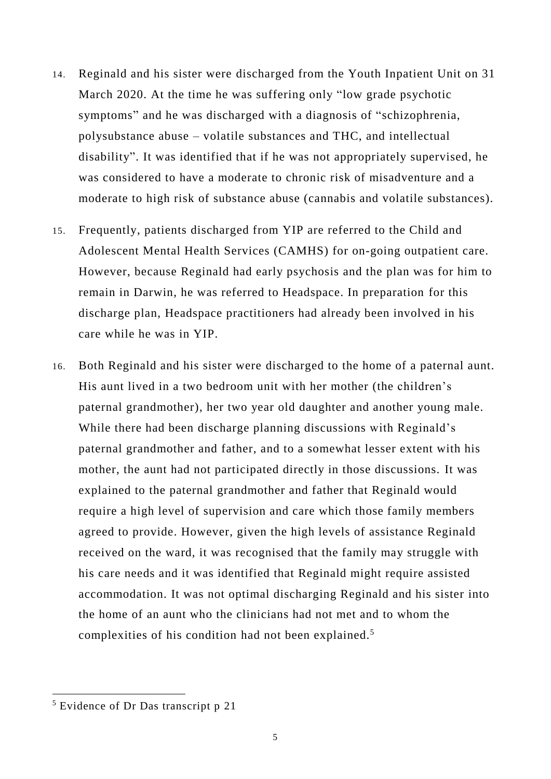- 14. Reginald and his sister were discharged from the Youth Inpatient Unit on 31 March 2020. At the time he was suffering only "low grade psychotic symptoms" and he was discharged with a diagnosis of "schizophrenia, polysubstance abuse – volatile substances and THC, and intellectual disability". It was identified that if he was not appropriately supervised, he was considered to have a moderate to chronic risk of misadventure and a moderate to high risk of substance abuse (cannabis and volatile substances).
- 15. Frequently, patients discharged from YIP are referred to the Child and Adolescent Mental Health Services (CAMHS) for on-going outpatient care. However, because Reginald had early psychosis and the plan was for him to remain in Darwin, he was referred to Headspace. In preparation for this discharge plan, Headspace practitioners had already been involved in his care while he was in YIP.
- 16. Both Reginald and his sister were discharged to the home of a paternal aunt. His aunt lived in a two bedroom unit with her mother (the children's paternal grandmother), her two year old daughter and another young male. While there had been discharge planning discussions with Reginald's paternal grandmother and father, and to a somewhat lesser extent with his mother, the aunt had not participated directly in those discussions. It was explained to the paternal grandmother and father that Reginald would require a high level of supervision and care which those family members agreed to provide. However, given the high levels of assistance Reginald received on the ward, it was recognised that the family may struggle with his care needs and it was identified that Reginald might require assisted accommodation. It was not optimal discharging Reginald and his sister into the home of an aunt who the clinicians had not met and to whom the complexities of his condition had not been explained.<sup>5</sup>

 $<sup>5</sup>$  Evidence of Dr Das transcript p 21</sup>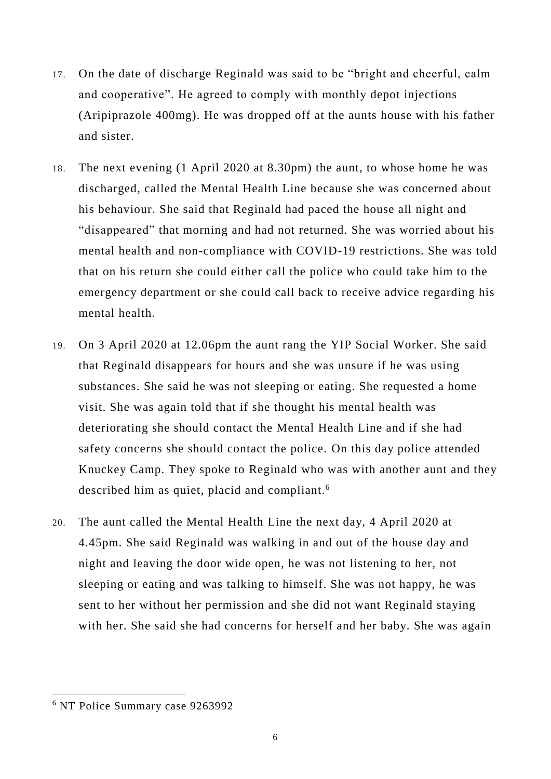- 17. On the date of discharge Reginald was said to be "bright and cheerful, calm and cooperative". He agreed to comply with monthly depot injections (Aripiprazole 400mg). He was dropped off at the aunts house with his father and sister.
- 18. The next evening (1 April 2020 at 8.30pm) the aunt, to whose home he was discharged, called the Mental Health Line because she was concerned about his behaviour. She said that Reginald had paced the house all night and "disappeared" that morning and had not returned. She was worried about his mental health and non-compliance with COVID-19 restrictions. She was told that on his return she could either call the police who could take him to the emergency department or she could call back to receive advice regarding his mental health.
- 19. On 3 April 2020 at 12.06pm the aunt rang the YIP Social Worker. She said that Reginald disappears for hours and she was unsure if he was using substances. She said he was not sleeping or eating. She requested a home visit. She was again told that if she thought his mental health was deteriorating she should contact the Mental Health Line and if she had safety concerns she should contact the police. On this day police attended Knuckey Camp. They spoke to Reginald who was with another aunt and they described him as quiet, placid and compliant.<sup>6</sup>
- 20. The aunt called the Mental Health Line the next day, 4 April 2020 at 4.45pm. She said Reginald was walking in and out of the house day and night and leaving the door wide open, he was not listening to her, not sleeping or eating and was talking to himself. She was not happy, he was sent to her without her permission and she did not want Reginald staying with her. She said she had concerns for herself and her baby. She was again

<sup>6</sup> NT Police Summary case 9263992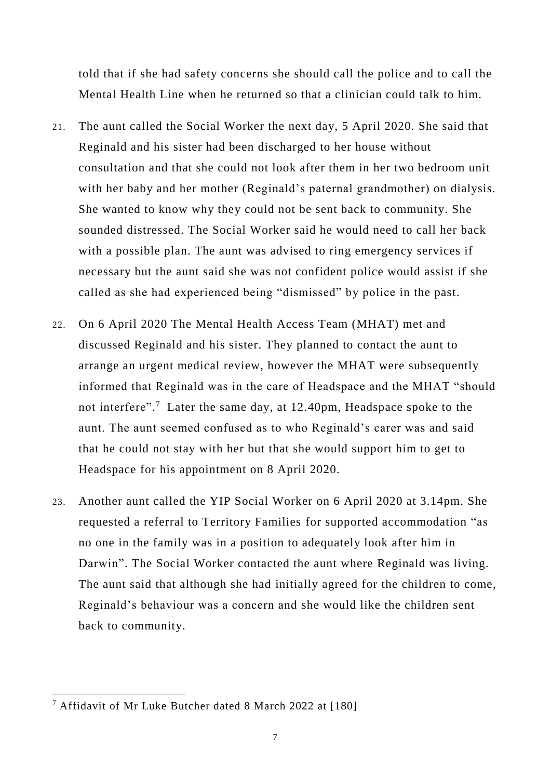told that if she had safety concerns she should call the police and to call the Mental Health Line when he returned so that a clinician could talk to him.

- 21. The aunt called the Social Worker the next day, 5 April 2020. She said that Reginald and his sister had been discharged to her house without consultation and that she could not look after them in her two bedroom unit with her baby and her mother (Reginald's paternal grandmother) on dialysis. She wanted to know why they could not be sent back to community. She sounded distressed. The Social Worker said he would need to call her back with a possible plan. The aunt was advised to ring emergency services if necessary but the aunt said she was not confident police would assist if she called as she had experienced being "dismissed" by police in the past.
- 22. On 6 April 2020 The Mental Health Access Team (MHAT) met and discussed Reginald and his sister. They planned to contact the aunt to arrange an urgent medical review, however the MHAT were subsequently informed that Reginald was in the care of Headspace and the MHAT "should not interfere". 7 Later the same day, at 12.40pm, Headspace spoke to the aunt. The aunt seemed confused as to who Reginald's carer was and said that he could not stay with her but that she would support him to get to Headspace for his appointment on 8 April 2020.
- 23. Another aunt called the YIP Social Worker on 6 April 2020 at 3.14pm. She requested a referral to Territory Families for supported accommodation "as no one in the family was in a position to adequately look after him in Darwin". The Social Worker contacted the aunt where Reginald was living. The aunt said that although she had initially agreed for the children to come, Reginald's behaviour was a concern and she would like the children sent back to community.

 $7$  Affidavit of Mr Luke Butcher dated 8 March 2022 at [180]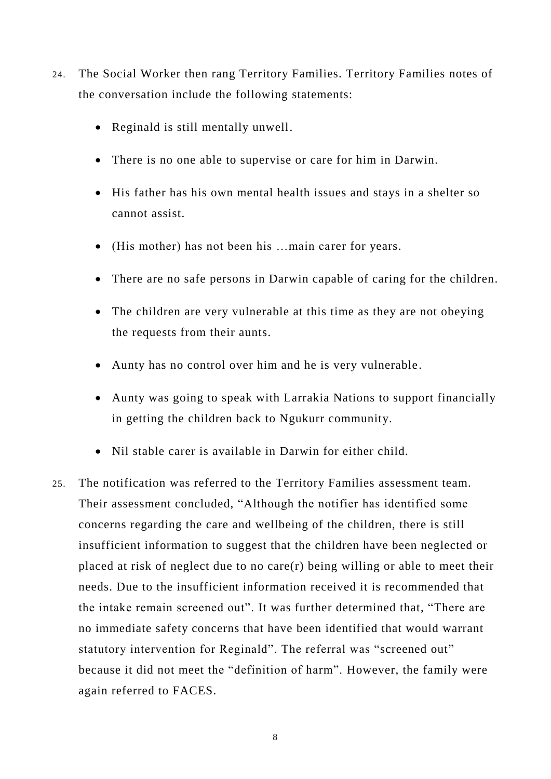- 24. The Social Worker then rang Territory Families. Territory Families notes of the conversation include the following statements:
	- Reginald is still mentally unwell.
	- There is no one able to supervise or care for him in Darwin.
	- His father has his own mental health issues and stays in a shelter so cannot assist.
	- (His mother) has not been his …main carer for years.
	- There are no safe persons in Darwin capable of caring for the children.
	- The children are very vulnerable at this time as they are not obeying the requests from their aunts.
	- Aunty has no control over him and he is very vulnerable.
	- Aunty was going to speak with Larrakia Nations to support financially in getting the children back to Ngukurr community.
	- Nil stable carer is available in Darwin for either child.
- 25. The notification was referred to the Territory Families assessment team. Their assessment concluded, "Although the notifier has identified some concerns regarding the care and wellbeing of the children, there is still insufficient information to suggest that the children have been neglected or placed at risk of neglect due to no care(r) being willing or able to meet their needs. Due to the insufficient information received it is recommended that the intake remain screened out". It was further determined that, "There are no immediate safety concerns that have been identified that would warrant statutory intervention for Reginald". The referral was "screened out" because it did not meet the "definition of harm". However, the family were again referred to FACES.

8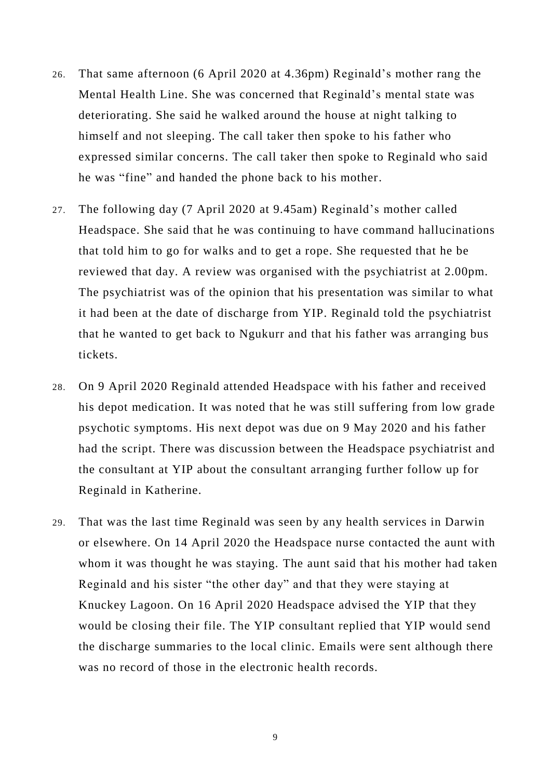- 26. That same afternoon (6 April 2020 at 4.36pm) Reginald's mother rang the Mental Health Line. She was concerned that Reginald's mental state was deteriorating. She said he walked around the house at night talking to himself and not sleeping. The call taker then spoke to his father who expressed similar concerns. The call taker then spoke to Reginald who said he was "fine" and handed the phone back to his mother.
- 27. The following day (7 April 2020 at 9.45am) Reginald's mother called Headspace. She said that he was continuing to have command hallucinations that told him to go for walks and to get a rope. She requested that he be reviewed that day. A review was organised with the psychiatrist at 2.00pm. The psychiatrist was of the opinion that his presentation was similar to what it had been at the date of discharge from YIP. Reginald told the psychiatrist that he wanted to get back to Ngukurr and that his father was arranging bus tickets.
- 28. On 9 April 2020 Reginald attended Headspace with his father and received his depot medication. It was noted that he was still suffering from low grade psychotic symptoms. His next depot was due on 9 May 2020 and his father had the script. There was discussion between the Headspace psychiatrist and the consultant at YIP about the consultant arranging further follow up for Reginald in Katherine.
- 29. That was the last time Reginald was seen by any health services in Darwin or elsewhere. On 14 April 2020 the Headspace nurse contacted the aunt with whom it was thought he was staying. The aunt said that his mother had taken Reginald and his sister "the other day" and that they were staying at Knuckey Lagoon. On 16 April 2020 Headspace advised the YIP that they would be closing their file. The YIP consultant replied that YIP would send the discharge summaries to the local clinic. Emails were sent although there was no record of those in the electronic health records.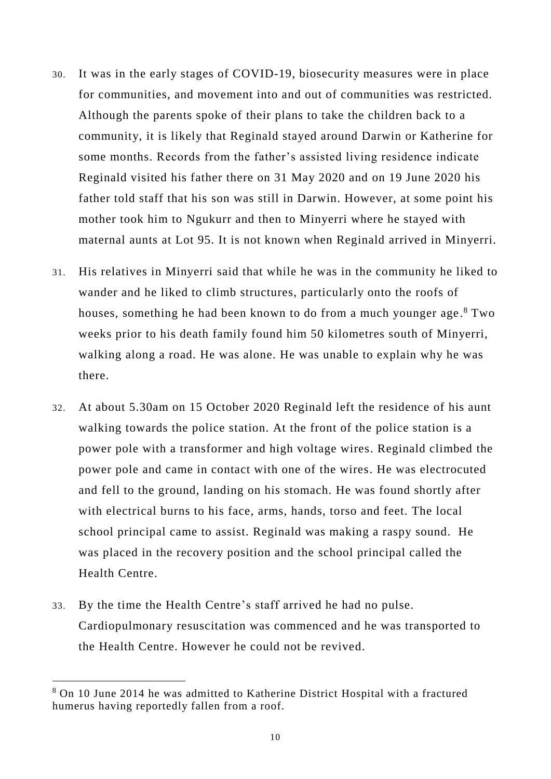- 30. It was in the early stages of COVID-19, biosecurity measures were in place for communities, and movement into and out of communities was restricted. Although the parents spoke of their plans to take the children back to a community, it is likely that Reginald stayed around Darwin or Katherine for some months. Records from the father's assisted living residence indicate Reginald visited his father there on 31 May 2020 and on 19 June 2020 his father told staff that his son was still in Darwin. However, at some point his mother took him to Ngukurr and then to Minyerri where he stayed with maternal aunts at Lot 95. It is not known when Reginald arrived in Minyerri.
- 31. His relatives in Minyerri said that while he was in the community he liked to wander and he liked to climb structures, particularly onto the roofs of houses, something he had been known to do from a much younger age.<sup>8</sup> Two weeks prior to his death family found him 50 kilometres south of Minyerri, walking along a road. He was alone. He was unable to explain why he was there.
- 32. At about 5.30am on 15 October 2020 Reginald left the residence of his aunt walking towards the police station. At the front of the police station is a power pole with a transformer and high voltage wires. Reginald climbed the power pole and came in contact with one of the wires. He was electrocuted and fell to the ground, landing on his stomach. He was found shortly after with electrical burns to his face, arms, hands, torso and feet. The local school principal came to assist. Reginald was making a raspy sound. He was placed in the recovery position and the school principal called the Health Centre.
- 33. By the time the Health Centre's staff arrived he had no pulse. Cardiopulmonary resuscitation was commenced and he was transported to the Health Centre. However he could not be revived.

<sup>8</sup> On 10 June 2014 he was admitted to Katherine District Hospital with a fractured humerus having reportedly fallen from a roof.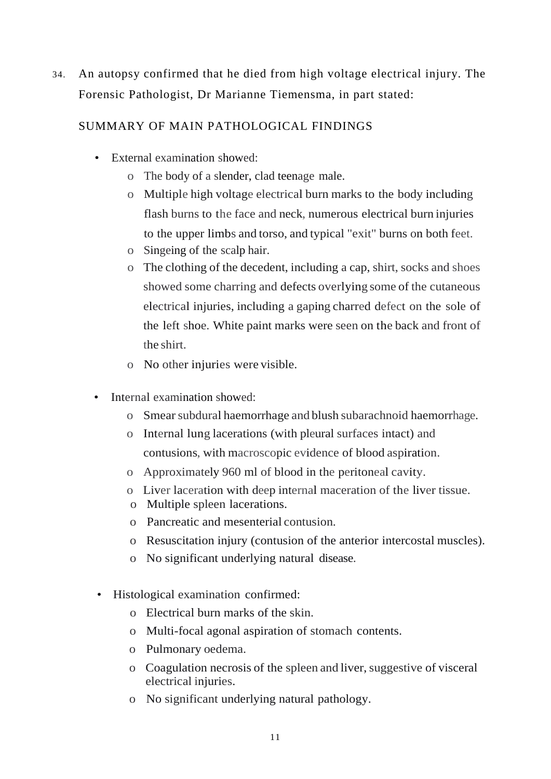34. An autopsy confirmed that he died from high voltage electrical injury. The Forensic Pathologist, Dr Marianne Tiemensma, in part stated:

# SUMMARY OF MAIN PATHOLOGICAL FINDINGS

- External examination showed:
	- o The body of a slender, clad teenage male.
	- o Multiple high voltage electrical burn marks to the body including flash burns to the face and neck, numerous electrical burn injuries to the upper limbs and torso, and typical "exit" burns on both feet.
	- o Singeing of the scalp hair.
	- o The clothing of the decedent, including a cap, shirt, socks and shoes showed some charring and defects overlying some of the cutaneous electrical injuries, including a gaping charred defect on the sole of the left shoe. White paint marks were seen on the back and front of the shirt.
	- o No other injuries were visible.
- Internal examination showed:
	- o Smearsubdural haemorrhage and blush subarachnoid haemorrhage.
	- o Internal lung lacerations (with pleural surfaces intact) and contusions, with macroscopic evidence of blood aspiration.
	- o Approximately 960 ml of blood in the peritoneal cavity.
	- o Liver laceration with deep internal maceration of the liver tissue.
	- o Multiple spleen lacerations.
	- o Pancreatic and mesenterial contusion.
	- o Resuscitation injury (contusion of the anterior intercostal muscles).
	- o No significant underlying natural disease.
- Histological examination confirmed:
	- o Electrical burn marks of the skin.
	- o Multi-focal agonal aspiration of stomach contents.
	- o Pulmonary oedema.
	- o Coagulation necrosis of the spleen and liver,suggestive of visceral electrical injuries.
	- o No significant underlying natural pathology.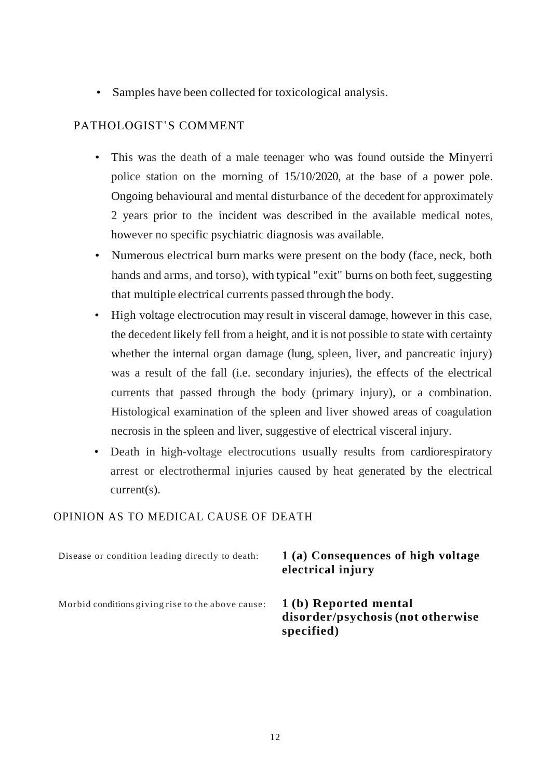• Samples have been collected for toxicological analysis.

## PATHOLOGIST'S COMMENT

- This was the death of a male teenager who was found outside the Minyerri police station on the morning of 15/10/2020, at the base of a power pole. Ongoing behavioural and mental disturbance of the decedent for approximately 2 years prior to the incident was described in the available medical notes, however no specific psychiatric diagnosis was available.
- Numerous electrical burn marks were present on the body (face, neck, both hands and arms, and torso), with typical "exit" burns on both feet, suggesting that multiple electrical currents passed through the body.
- High voltage electrocution may result in visceral damage, however in this case, the decedent likely fell from a height, and it is not possible to state with certainty whether the internal organ damage (lung, spleen, liver, and pancreatic injury) was a result of the fall (i.e. secondary injuries), the effects of the electrical currents that passed through the body (primary injury), or a combination. Histological examination of the spleen and liver showed areas of coagulation necrosis in the spleen and liver, suggestive of electrical visceral injury.
- Death in high-voltage electrocutions usually results from cardiorespiratory arrest or electrothermal injuries caused by heat generated by the electrical current(s).

### OPINION AS TO MEDICAL CAUSE OF DEATH

| Disease or condition leading directly to death:   | 1(a) Consequences of high voltage<br>electrical injury                  |
|---------------------------------------------------|-------------------------------------------------------------------------|
| Morbid conditions giving rise to the above cause: | 1(b) Reported mental<br>disorder/psychosis (not otherwise<br>specified) |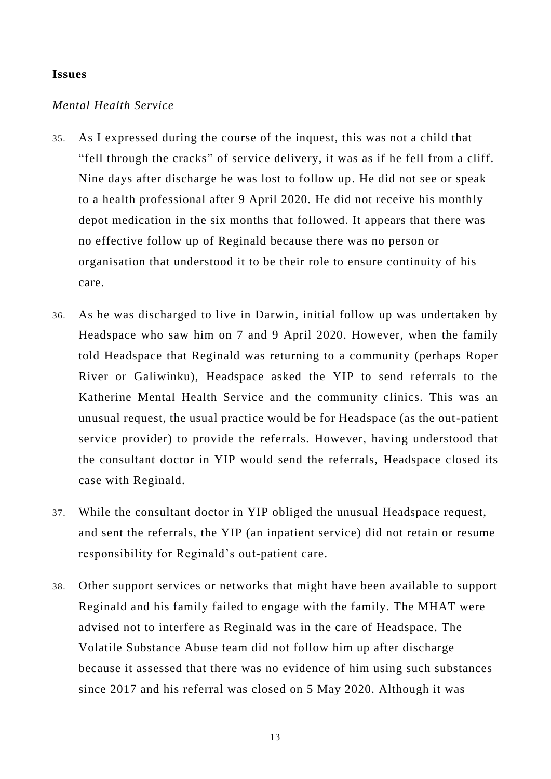#### **Issues**

#### *Mental Health Service*

- 35. As I expressed during the course of the inquest, this was not a child that "fell through the cracks" of service delivery, it was as if he fell from a cliff. Nine days after discharge he was lost to follow up. He did not see or speak to a health professional after 9 April 2020. He did not receive his monthly depot medication in the six months that followed. It appears that there was no effective follow up of Reginald because there was no person or organisation that understood it to be their role to ensure continuity of his care.
- 36. As he was discharged to live in Darwin, initial follow up was undertaken by Headspace who saw him on 7 and 9 April 2020. However, when the family told Headspace that Reginald was returning to a community (perhaps Roper River or Galiwinku), Headspace asked the YIP to send referrals to the Katherine Mental Health Service and the community clinics. This was an unusual request, the usual practice would be for Headspace (as the out-patient service provider) to provide the referrals. However, having understood that the consultant doctor in YIP would send the referrals, Headspace closed its case with Reginald.
- 37. While the consultant doctor in YIP obliged the unusual Headspace request, and sent the referrals, the YIP (an inpatient service) did not retain or resume responsibility for Reginald's out-patient care.
- 38. Other support services or networks that might have been available to support Reginald and his family failed to engage with the family. The MHAT were advised not to interfere as Reginald was in the care of Headspace. The Volatile Substance Abuse team did not follow him up after discharge because it assessed that there was no evidence of him using such substances since 2017 and his referral was closed on 5 May 2020. Although it was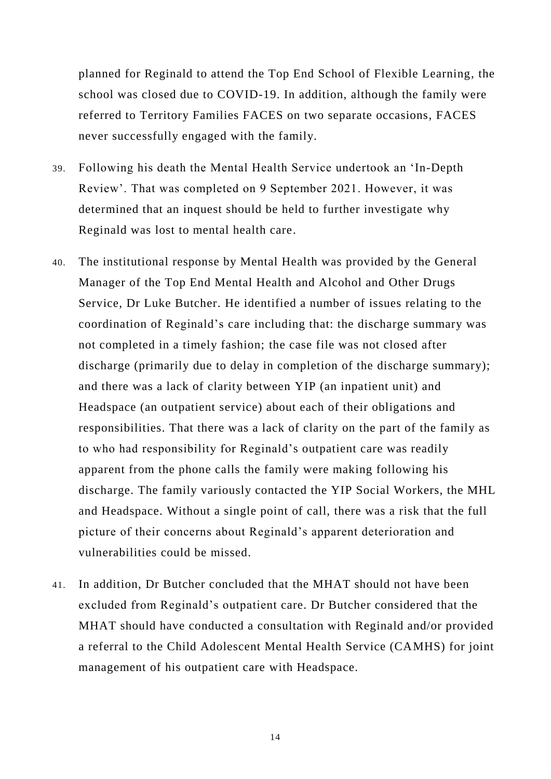planned for Reginald to attend the Top End School of Flexible Learning, the school was closed due to COVID-19. In addition, although the family were referred to Territory Families FACES on two separate occasions, FACES never successfully engaged with the family.

- 39. Following his death the Mental Health Service undertook an 'In-Depth Review'. That was completed on 9 September 2021. However, it was determined that an inquest should be held to further investigate why Reginald was lost to mental health care.
- 40. The institutional response by Mental Health was provided by the General Manager of the Top End Mental Health and Alcohol and Other Drugs Service, Dr Luke Butcher. He identified a number of issues relating to the coordination of Reginald's care including that: the discharge summary was not completed in a timely fashion; the case file was not closed after discharge (primarily due to delay in completion of the discharge summary); and there was a lack of clarity between YIP (an inpatient unit) and Headspace (an outpatient service) about each of their obligations and responsibilities. That there was a lack of clarity on the part of the family as to who had responsibility for Reginald's outpatient care was readily apparent from the phone calls the family were making following his discharge. The family variously contacted the YIP Social Workers, the MHL and Headspace. Without a single point of call, there was a risk that the full picture of their concerns about Reginald's apparent deterioration and vulnerabilities could be missed.
- 41. In addition, Dr Butcher concluded that the MHAT should not have been excluded from Reginald's outpatient care. Dr Butcher considered that the MHAT should have conducted a consultation with Reginald and/or provided a referral to the Child Adolescent Mental Health Service (CAMHS) for joint management of his outpatient care with Headspace.

14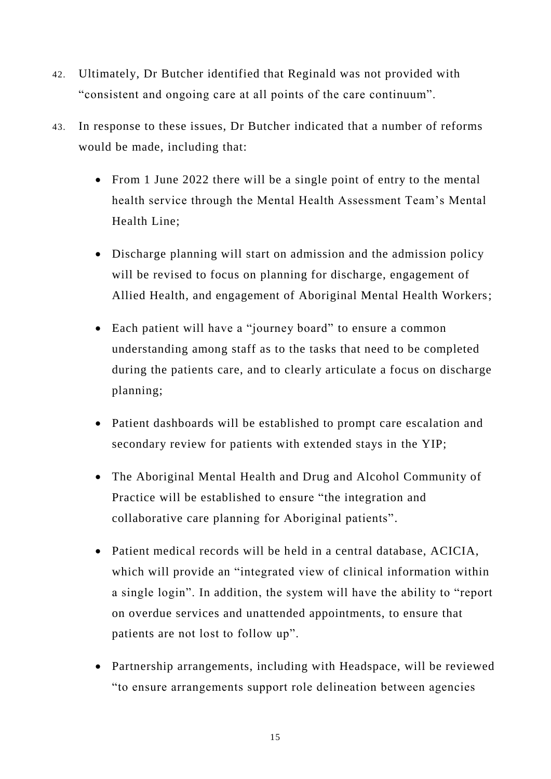- 42. Ultimately, Dr Butcher identified that Reginald was not provided with "consistent and ongoing care at all points of the care continuum".
- 43. In response to these issues, Dr Butcher indicated that a number of reforms would be made, including that:
	- From 1 June 2022 there will be a single point of entry to the mental health service through the Mental Health Assessment Team's Mental Health Line;
	- Discharge planning will start on admission and the admission policy will be revised to focus on planning for discharge, engagement of Allied Health, and engagement of Aboriginal Mental Health Workers;
	- Each patient will have a "journey board" to ensure a common understanding among staff as to the tasks that need to be completed during the patients care, and to clearly articulate a focus on discharge planning;
	- Patient dashboards will be established to prompt care escalation and secondary review for patients with extended stays in the YIP;
	- The Aboriginal Mental Health and Drug and Alcohol Community of Practice will be established to ensure "the integration and collaborative care planning for Aboriginal patients".
	- Patient medical records will be held in a central database, ACICIA, which will provide an "integrated view of clinical information within a single login". In addition, the system will have the ability to "report on overdue services and unattended appointments, to ensure that patients are not lost to follow up".
	- Partnership arrangements, including with Headspace, will be reviewed "to ensure arrangements support role delineation between agencies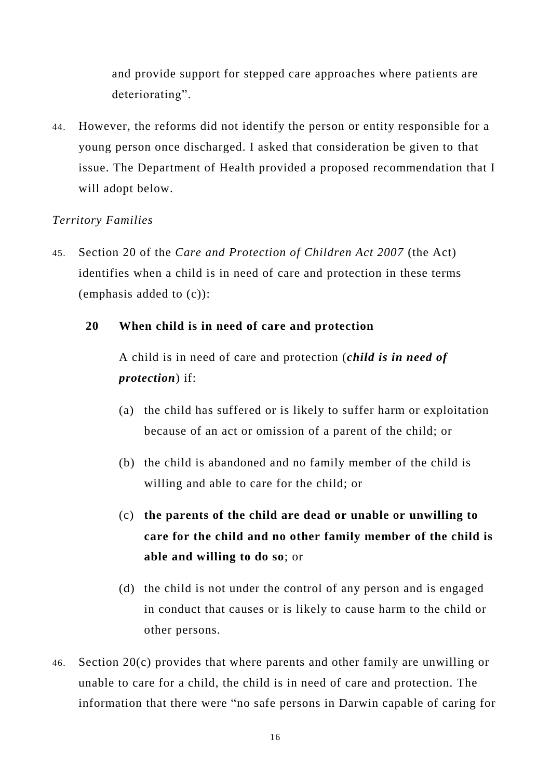and provide support for stepped care approaches where patients are deteriorating".

44. However, the reforms did not identify the person or entity responsible for a young person once discharged. I asked that consideration be given to that issue. The Department of Health provided a proposed recommendation that I will adopt below.

# *Territory Families*

45. Section 20 of the *Care and Protection of Children Act 2007* (the Act) identifies when a child is in need of care and protection in these terms (emphasis added to (c)):

# **20 When child is in need of care and protection**

A child is in need of care and protection (*child is in need of protection*) if:

- (a) the child has suffered or is likely to suffer harm or exploitation because of an act or omission of a parent of the child; or
- (b) the child is abandoned and no family member of the child is willing and able to care for the child; or
- (c) **the parents of the child are dead or unable or unwilling to care for the child and no other family member of the child is able and willing to do so**; or
- (d) the child is not under the control of any person and is engaged in conduct that causes or is likely to cause harm to the child or other persons.
- 46. Section 20(c) provides that where parents and other family are unwilling or unable to care for a child, the child is in need of care and protection. The information that there were "no safe persons in Darwin capable of caring for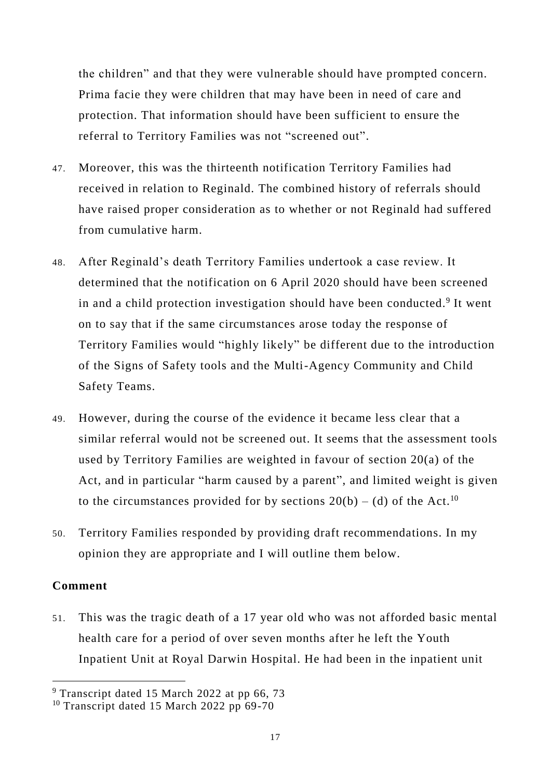the children" and that they were vulnerable should have prompted concern. Prima facie they were children that may have been in need of care and protection. That information should have been sufficient to ensure the referral to Territory Families was not "screened out".

- 47. Moreover, this was the thirteenth notification Territory Families had received in relation to Reginald. The combined history of referrals should have raised proper consideration as to whether or not Reginald had suffered from cumulative harm.
- 48. After Reginald's death Territory Families undertook a case review. It determined that the notification on 6 April 2020 should have been screened in and a child protection investigation should have been conducted.<sup>9</sup> It went on to say that if the same circumstances arose today the response of Territory Families would "highly likely" be different due to the introduction of the Signs of Safety tools and the Multi-Agency Community and Child Safety Teams.
- 49. However, during the course of the evidence it became less clear that a similar referral would not be screened out. It seems that the assessment tools used by Territory Families are weighted in favour of section 20(a) of the Act, and in particular "harm caused by a parent", and limited weight is given to the circumstances provided for by sections  $20(b) - (d)$  of the Act.<sup>10</sup>
- 50. Territory Families responded by providing draft recommendations. In my opinion they are appropriate and I will outline them below.

### **Comment**

 $\overline{a}$ 

51. This was the tragic death of a 17 year old who was not afforded basic mental health care for a period of over seven months after he left the Youth Inpatient Unit at Royal Darwin Hospital. He had been in the inpatient unit

<sup>&</sup>lt;sup>9</sup> Transcript dated 15 March 2022 at pp 66, 73

<sup>&</sup>lt;sup>10</sup> Transcript dated 15 March 2022 pp  $69-70$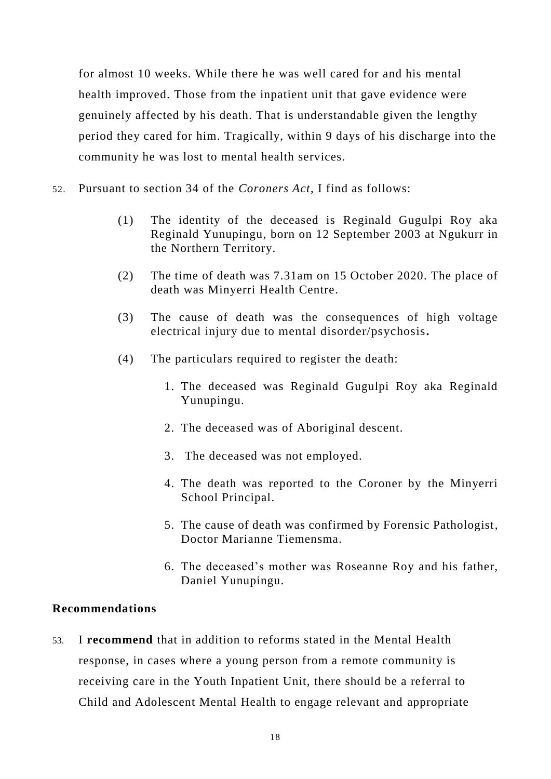for almost 10 weeks. While there he was well cared for and his mental health improved. Those from the inpatient unit that gave evidence were genuinely affected by his death. That is understandable given the lengthy period they cared for him. Tragically, within 9 days of his discharge into the community he was lost to mental health services.

- 52. Pursuant to section 34 of the *Coroners Act*, I find as follows:
	- (1) The identity of the deceased is Reginald Gugulpi Roy aka Reginald Yunupingu, born on 12 September 2003 at Ngukurr in the Northern Territory.
	- (2) The time of death was 7.31am on 15 October 2020. The place of death was Minyerri Health Centre.
	- (3) The cause of death was the consequences of high voltage electrical injury due to mental disorder/psychosis**.**
	- (4) The particulars required to register the death:
		- 1. The deceased was Reginald Gugulpi Roy aka Reginald Yunupingu.
		- 2. The deceased was of Aboriginal descent.
		- 3. The deceased was not employed.
		- 4. The death was reported to the Coroner by the Minyerri School Principal.
		- 5. The cause of death was confirmed by Forensic Pathologist, Doctor Marianne Tiemensma.
		- 6. The deceased's mother was Roseanne Roy and his father, Daniel Yunupingu.

### **Recommendations**

53. I **recommend** that in addition to reforms stated in the Mental Health response, in cases where a young person from a remote community is receiving care in the Youth Inpatient Unit, there should be a referral to Child and Adolescent Mental Health to engage relevant and appropriate